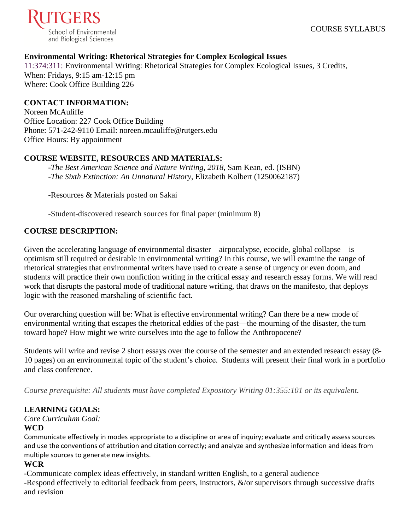

## **Environmental Writing: Rhetorical Strategies for Complex Ecological Issues**

11:374:311: Environmental Writing: Rhetorical Strategies for Complex Ecological Issues, 3 Credits, When: Fridays, 9:15 am-12:15 pm Where: Cook Office Building 226

#### **CONTACT INFORMATION:**

Noreen McAuliffe Office Location: 227 Cook Office Building Phone: 571-242-9110 Email: noreen.mcauliffe@rutgers.edu Office Hours: By appointment

### **COURSE WEBSITE, RESOURCES AND MATERIALS:**

-*The Best American Science and Nature Writing, 2018*, Sam Kean, ed. (ISBN) -*The Sixth Extinction: An Unnatural History*, Elizabeth Kolbert (1250062187)

-Resources & Materials posted on Sakai

-Student-discovered research sources for final paper (minimum 8)

### **COURSE DESCRIPTION:**

Given the accelerating language of environmental disaster—airpocalypse, ecocide, global collapse—is optimism still required or desirable in environmental writing? In this course, we will examine the range of rhetorical strategies that environmental writers have used to create a sense of urgency or even doom, and students will practice their own nonfiction writing in the critical essay and research essay forms. We will read work that disrupts the pastoral mode of traditional nature writing, that draws on the manifesto, that deploys logic with the reasoned marshaling of scientific fact.

Our overarching question will be: What is effective environmental writing? Can there be a new mode of environmental writing that escapes the rhetorical eddies of the past—the mourning of the disaster, the turn toward hope? How might we write ourselves into the age to follow the Anthropocene?

Students will write and revise 2 short essays over the course of the semester and an extended research essay (8- 10 pages) on an environmental topic of the student's choice. Students will present their final work in a portfolio and class conference.

*Course prerequisite: All students must have completed Expository Writing 01:355:101 or its equivalent.*

# **LEARNING GOALS:**

*Core Curriculum Goal:*

#### **WCD**

Communicate effectively in modes appropriate to a discipline or area of inquiry; evaluate and critically assess sources and use the conventions of attribution and citation correctly; and analyze and synthesize information and ideas from multiple sources to generate new insights.

## **WCR**

-Communicate complex ideas effectively, in standard written English, to a general audience -Respond effectively to editorial feedback from peers, instructors,  $\&$ /or supervisors through successive drafts and revision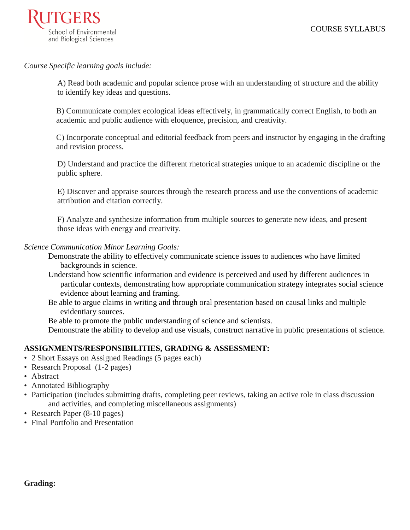

*Course Specific learning goals include:* 

A) Read both academic and popular science prose with an understanding of structure and the ability to identify key ideas and questions.

B) Communicate complex ecological ideas effectively, in grammatically correct English, to both an academic and public audience with eloquence, precision, and creativity.

C) Incorporate conceptual and editorial feedback from peers and instructor by engaging in the drafting and revision process.

D) Understand and practice the different rhetorical strategies unique to an academic discipline or the public sphere.

E) Discover and appraise sources through the research process and use the conventions of academic attribution and citation correctly.

F) Analyze and synthesize information from multiple sources to generate new ideas, and present those ideas with energy and creativity.

#### *Science Communication Minor Learning Goals:*

Demonstrate the ability to effectively communicate science issues to audiences who have limited backgrounds in science.

- Understand how scientific information and evidence is perceived and used by different audiences in particular contexts, demonstrating how appropriate communication strategy integrates social science evidence about learning and framing.
- Be able to argue claims in writing and through oral presentation based on causal links and multiple evidentiary sources.

Be able to promote the public understanding of science and scientists.

Demonstrate the ability to develop and use visuals, construct narrative in public presentations of science.

#### **ASSIGNMENTS/RESPONSIBILITIES, GRADING & ASSESSMENT:**

- 2 Short Essays on Assigned Readings (5 pages each)
- Research Proposal (1-2 pages)
- Abstract
- Annotated Bibliography
- Participation (includes submitting drafts, completing peer reviews, taking an active role in class discussion and activities, and completing miscellaneous assignments)
- Research Paper (8-10 pages)
- Final Portfolio and Presentation

#### **Grading:**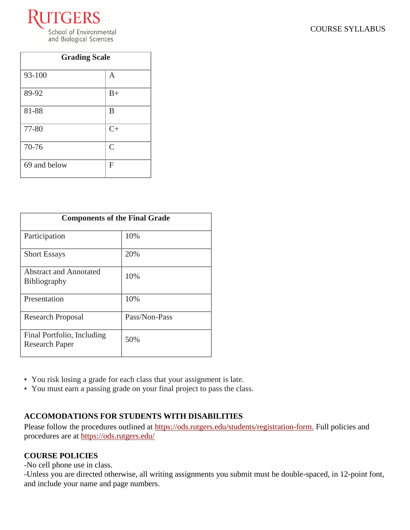

|  | <b>COURSE SYLLABUS</b> |
|--|------------------------|
|--|------------------------|

| <b>Grading Scale</b> |                |
|----------------------|----------------|
| 93-100               | A              |
| 89-92                | $B+$           |
| 81-88                | B              |
| 77-80                | $C+$           |
| 70-76                | $\overline{C}$ |
| 69 and below         | F              |

| <b>Components of the Final Grade</b>                 |               |  |
|------------------------------------------------------|---------------|--|
| Participation                                        | 10%           |  |
| <b>Short Essays</b>                                  | 20%           |  |
| <b>Abstract and Annotated</b><br><b>Bibliography</b> | 10%           |  |
| Presentation                                         | 10%           |  |
| <b>Research Proposal</b>                             | Pass/Non-Pass |  |
| Final Portfolio, Including<br><b>Research Paper</b>  | 50%           |  |

- You risk losing a grade for each class that your assignment is late.
- You must earn a passing grade on your final project to pass the class.

# **ACCOMODATIONS FOR STUDENTS WITH DISABILITIES**

Please follow the procedures outlined at [https://ods.rutgers.edu/students/registration-form.](https://ods.rutgers.edu/students/registration-form) Full policies and procedures are at<https://ods.rutgers.edu/>

# **COURSE POLICIES**

-No cell phone use in class.

-Unless you are directed otherwise, all writing assignments you submit must be double-spaced, in 12-point font, and include your name and page numbers.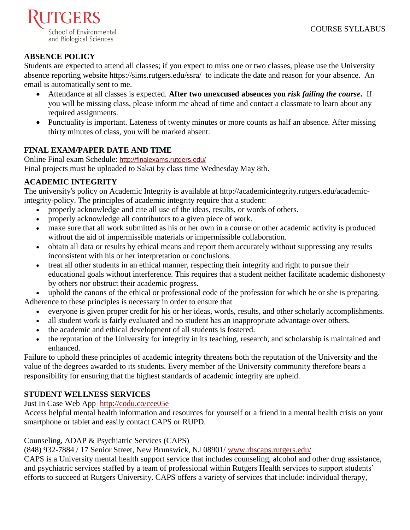

# **ABSENCE POLICY**

Students are expected to attend all classes; if you expect to miss one or two classes, please use the University absence reporting website<https://sims.rutgers.edu/ssra/>to indicate the date and reason for your absence. An email is automatically sent to me.

- Attendance at all classes is expected. **After two unexcused absences you** *risk failing the course***.** If you will be missing class, please inform me ahead of time and contact a classmate to learn about any required assignments.
- Punctuality is important. Lateness of twenty minutes or more counts as half an absence. After missing thirty minutes of class, you will be marked absent.

# **FINAL EXAM/PAPER DATE AND TIME**

Online Final exam Schedule: <http://finalexams.rutgers.edu/> Final projects must be uploaded to Sakai by class time Wednesday May 8th.

# **ACADEMIC INTEGRITY**

The university's policy on Academic Integrity is available at [http://academicintegrity.rutgers.edu/academic](http://academicintegrity.rutgers.edu/academic-integrity-policy)[integrity-policy.](http://academicintegrity.rutgers.edu/academic-integrity-policy) The principles of academic integrity require that a student:

- properly acknowledge and cite all use of the ideas, results, or words of others.
- properly acknowledge all contributors to a given piece of work.
- make sure that all work submitted as his or her own in a course or other academic activity is produced without the aid of impermissible materials or impermissible collaboration.
- obtain all data or results by ethical means and report them accurately without suppressing any results inconsistent with his or her interpretation or conclusions.
- treat all other students in an ethical manner, respecting their integrity and right to pursue their educational goals without interference. This requires that a student neither facilitate academic dishonesty by others nor obstruct their academic progress.

uphold the canons of the ethical or professional code of the profession for which he or she is preparing. Adherence to these principles is necessary in order to ensure that

- everyone is given proper credit for his or her ideas, words, results, and other scholarly accomplishments.
- all student work is fairly evaluated and no student has an inappropriate advantage over others.
- the academic and ethical development of all students is fostered.
- the reputation of the University for integrity in its teaching, research, and scholarship is maintained and enhanced.

Failure to uphold these principles of academic integrity threatens both the reputation of the University and the value of the degrees awarded to its students. Every member of the University community therefore bears a responsibility for ensuring that the highest standards of academic integrity are upheld.

# **STUDENT WELLNESS SERVICES**

[Just In Case Web App](http://m.appcreatorpro.com/m/rutgers/fda9f59ca5/fda9f59ca5.html) <http://codu.co/cee05e>

Access helpful mental health information and resources for yourself or a friend in a mental health crisis on your smartphone or tablet and easily contact CAPS or RUPD.

Counseling, ADAP & Psychiatric Services (CAPS)

(848) 932-7884 / 17 Senior Street, New Brunswick, NJ 08901/ [www.rhscaps.rutgers.edu/](http://www.rhscaps.rutgers.edu/)

CAPS is a University mental health support service that includes counseling, alcohol and other drug assistance, and psychiatric services staffed by a team of professional within Rutgers Health services to support students' efforts to succeed at Rutgers University. CAPS offers a variety of services that include: individual therapy,